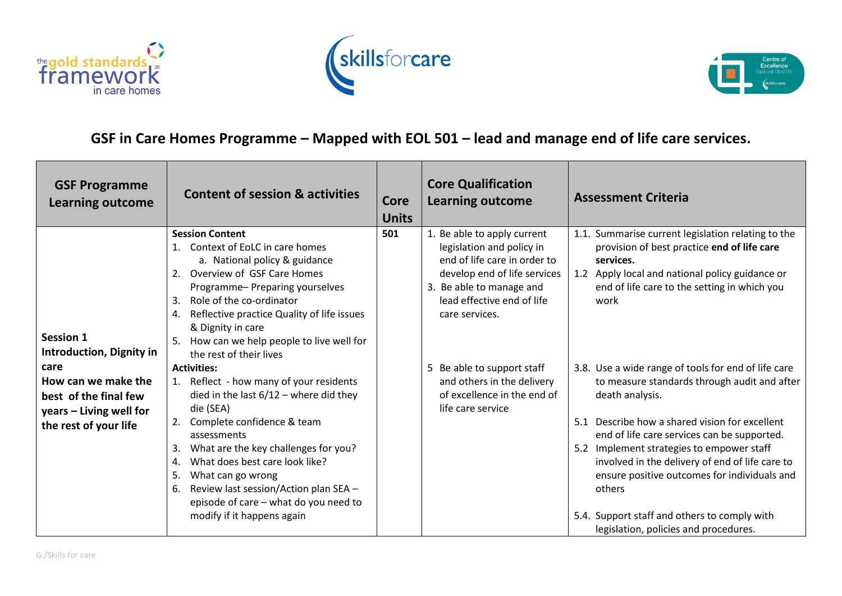





## **GSF in Care Homes Programme – Mapped with EOL 501 – lead and manage end of life care services.**

| <b>GSF Programme</b><br><b>Learning outcome</b>                                                          | <b>Content of session &amp; activities</b>                                                                                                                                                                                                                                                                                                                                                                    | <b>Core</b><br><b>Units</b> | <b>Core Qualification</b><br><b>Learning outcome</b>                                                                                                                                                 | <b>Assessment Criteria</b>                                                                                                                                                                                                                                                                                                                                                                                                                                                 |
|----------------------------------------------------------------------------------------------------------|---------------------------------------------------------------------------------------------------------------------------------------------------------------------------------------------------------------------------------------------------------------------------------------------------------------------------------------------------------------------------------------------------------------|-----------------------------|------------------------------------------------------------------------------------------------------------------------------------------------------------------------------------------------------|----------------------------------------------------------------------------------------------------------------------------------------------------------------------------------------------------------------------------------------------------------------------------------------------------------------------------------------------------------------------------------------------------------------------------------------------------------------------------|
| Session 1<br><b>Introduction, Dignity in</b>                                                             | <b>Session Content</b><br>1. Context of EoLC in care homes<br>a. National policy & guidance<br>2. Overview of GSF Care Homes<br>Programme-Preparing yourselves<br>Role of the co-ordinator<br>3.<br>Reflective practice Quality of life issues<br>4.<br>& Dignity in care<br>How can we help people to live well for<br>the rest of their lives                                                               | 501                         | 1. Be able to apply current<br>legislation and policy in<br>end of life care in order to<br>develop end of life services<br>3. Be able to manage and<br>lead effective end of life<br>care services. | 1.1. Summarise current legislation relating to the<br>provision of best practice end of life care<br>services.<br>1.2 Apply local and national policy guidance or<br>end of life care to the setting in which you<br>work                                                                                                                                                                                                                                                  |
| care<br>How can we make the<br>best of the final few<br>years - Living well for<br>the rest of your life | <b>Activities:</b><br>1. Reflect - how many of your residents<br>died in the last $6/12$ – where did they<br>die (SEA)<br>2. Complete confidence & team<br>assessments<br>What are the key challenges for you?<br>3.<br>What does best care look like?<br>4.<br>What can go wrong<br>5.<br>Review last session/Action plan SEA -<br>6.<br>episode of care - what do you need to<br>modify if it happens again |                             | 5 Be able to support staff<br>and others in the delivery<br>of excellence in the end of<br>life care service                                                                                         | 3.8. Use a wide range of tools for end of life care<br>to measure standards through audit and after<br>death analysis.<br>5.1 Describe how a shared vision for excellent<br>end of life care services can be supported.<br>5.2 Implement strategies to empower staff<br>involved in the delivery of end of life care to<br>ensure positive outcomes for individuals and<br>others<br>5.4. Support staff and others to comply with<br>legislation, policies and procedures. |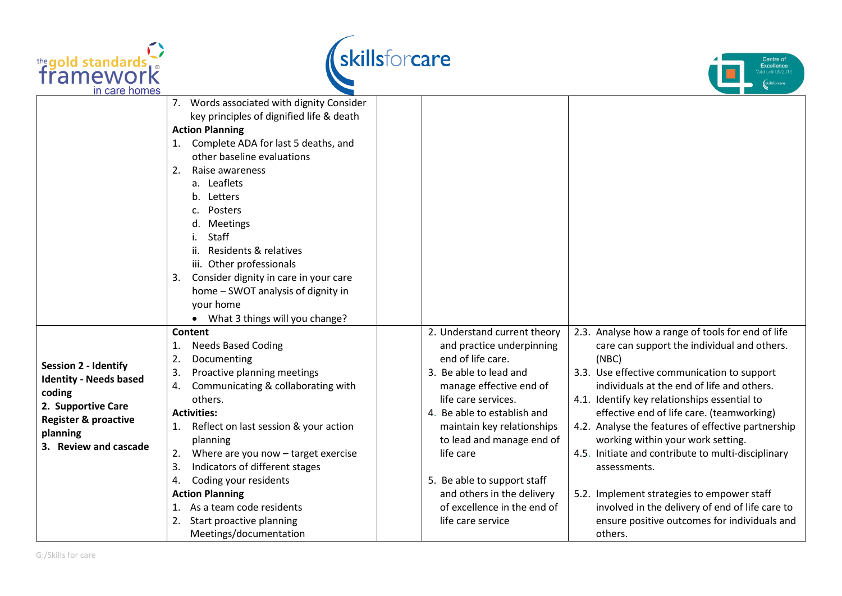





|                                                                   | 7. Words associated with dignity Consider   |                              |                                                    |
|-------------------------------------------------------------------|---------------------------------------------|------------------------------|----------------------------------------------------|
|                                                                   | key principles of dignified life & death    |                              |                                                    |
|                                                                   | <b>Action Planning</b>                      |                              |                                                    |
|                                                                   | 1. Complete ADA for last 5 deaths, and      |                              |                                                    |
|                                                                   | other baseline evaluations                  |                              |                                                    |
|                                                                   | Raise awareness<br>2.                       |                              |                                                    |
|                                                                   | a. Leaflets                                 |                              |                                                    |
|                                                                   | Letters<br>b.                               |                              |                                                    |
|                                                                   | Posters                                     |                              |                                                    |
|                                                                   | Meetings<br>d.                              |                              |                                                    |
|                                                                   | Staff                                       |                              |                                                    |
|                                                                   | Residents & relatives<br>ii.                |                              |                                                    |
|                                                                   | iii. Other professionals                    |                              |                                                    |
|                                                                   | Consider dignity in care in your care<br>3. |                              |                                                    |
|                                                                   | home - SWOT analysis of dignity in          |                              |                                                    |
|                                                                   | your home                                   |                              |                                                    |
|                                                                   | What 3 things will you change?              |                              |                                                    |
|                                                                   | Content                                     | 2. Understand current theory | 2.3. Analyse how a range of tools for end of life  |
| Session 2 - Identify<br><b>Identity - Needs based</b>             | <b>Needs Based Coding</b><br>1.             | and practice underpinning    | care can support the individual and others.        |
|                                                                   | Documenting<br>2.                           | end of life care.            | (NEC)                                              |
|                                                                   | Proactive planning meetings<br>3.           | 3. Be able to lead and       | 3.3. Use effective communication to support        |
| coding                                                            | Communicating & collaborating with<br>4.    | manage effective end of      | individuals at the end of life and others.         |
| 2. Supportive Care<br><b>Register &amp; proactive</b><br>planning | others.                                     | life care services.          | 4.1. Identify key relationships essential to       |
|                                                                   | <b>Activities:</b>                          | 4. Be able to establish and  | effective end of life care. (teamworking)          |
|                                                                   | Reflect on last session & your action<br>1. | maintain key relationships   | 4.2. Analyse the features of effective partnership |
| 3. Review and cascade                                             | planning                                    | to lead and manage end of    | working within your work setting.                  |
|                                                                   | Where are you now - target exercise<br>2.   | life care                    | 4.5. Initiate and contribute to multi-disciplinary |
|                                                                   | Indicators of different stages<br>3.        |                              | assessments.                                       |
|                                                                   | Coding your residents<br>4.                 | 5. Be able to support staff  |                                                    |
|                                                                   | <b>Action Planning</b>                      | and others in the delivery   | 5.2. Implement strategies to empower staff         |
|                                                                   | 1. As a team code residents                 | of excellence in the end of  | involved in the delivery of end of life care to    |
|                                                                   | 2. Start proactive planning                 | life care service            | ensure positive outcomes for individuals and       |
|                                                                   | Meetings/documentation                      |                              | others.                                            |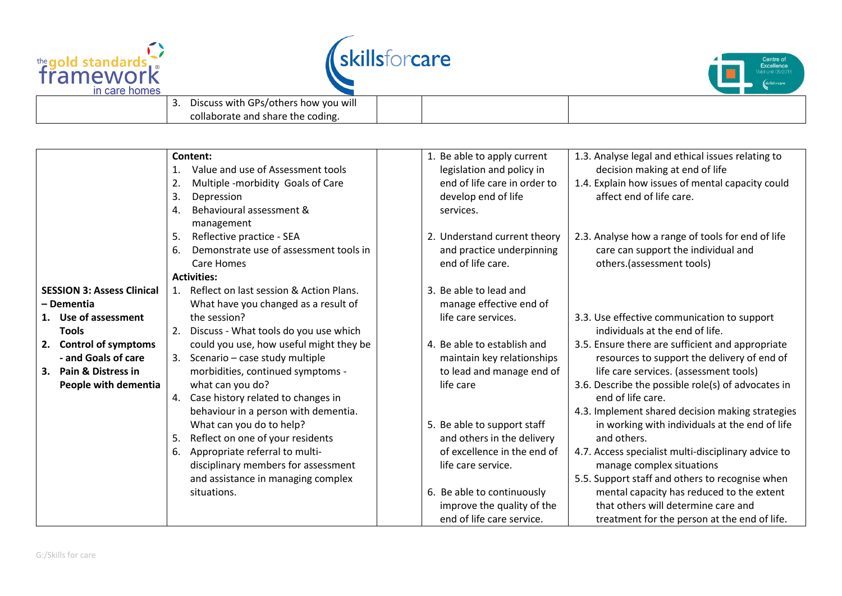





| Discuss with GPs/others how you will<br>.<br>collaborate and share the coding. |  |  |
|--------------------------------------------------------------------------------|--|--|
|                                                                                |  |  |
|                                                                                |  |  |

|                                   | Content:                                     | 1. Be able to apply current                               | 1.3. Analyse legal and ethical issues relating to   |
|-----------------------------------|----------------------------------------------|-----------------------------------------------------------|-----------------------------------------------------|
|                                   | Value and use of Assessment tools            | legislation and policy in                                 | decision making at end of life                      |
|                                   | Multiple -morbidity Goals of Care<br>2.      | end of life care in order to                              | 1.4. Explain how issues of mental capacity could    |
|                                   | 3.<br>Depression                             | develop end of life                                       | affect end of life care.                            |
|                                   | Behavioural assessment &<br>4.               | services.                                                 |                                                     |
|                                   | management                                   |                                                           |                                                     |
|                                   | Reflective practice - SEA<br>5.              | 2. Understand current theory                              | 2.3. Analyse how a range of tools for end of life   |
|                                   | Demonstrate use of assessment tools in<br>6. | and practice underpinning                                 | care can support the individual and                 |
|                                   | Care Homes                                   | end of life care.                                         | others.(assessment tools)                           |
|                                   | <b>Activities:</b>                           |                                                           |                                                     |
| <b>SESSION 3: Assess Clinical</b> | 1. Reflect on last session & Action Plans.   | 3. Be able to lead and                                    |                                                     |
| – Dementia                        | What have you changed as a result of         | manage effective end of                                   |                                                     |
| 1. Use of assessment              | the session?                                 | life care services.                                       | 3.3. Use effective communication to support         |
| <b>Tools</b>                      | Discuss - What tools do you use which<br>2.  |                                                           | individuals at the end of life.                     |
| 2. Control of symptoms            | could you use, how useful might they be      | 4. Be able to establish and                               | 3.5. Ensure there are sufficient and appropriate    |
| - and Goals of care               | 3. Scenario - case study multiple            | maintain key relationships                                | resources to support the delivery of end of         |
| 3. Pain & Distress in             | morbidities, continued symptoms -            | to lead and manage end of                                 | life care services. (assessment tools)              |
| People with dementia              | what can you do?                             | life care                                                 | 3.6. Describe the possible role(s) of advocates in  |
|                                   | 4. Case history related to changes in        |                                                           | end of life care.                                   |
|                                   | behaviour in a person with dementia.         |                                                           | 4.3. Implement shared decision making strategies    |
|                                   | What can you do to help?                     | 5. Be able to support staff                               | in working with individuals at the end of life      |
|                                   | 5.                                           |                                                           | and others.                                         |
|                                   | Reflect on one of your residents             | and others in the delivery<br>of excellence in the end of |                                                     |
|                                   | Appropriate referral to multi-<br>6.         |                                                           | 4.7. Access specialist multi-disciplinary advice to |
|                                   | disciplinary members for assessment          | life care service.                                        | manage complex situations                           |
|                                   | and assistance in managing complex           |                                                           | 5.5. Support staff and others to recognise when     |
|                                   | situations.                                  | 6. Be able to continuously                                | mental capacity has reduced to the extent           |
|                                   |                                              | improve the quality of the                                | that others will determine care and                 |
|                                   |                                              | end of life care service.                                 | treatment for the person at the end of life.        |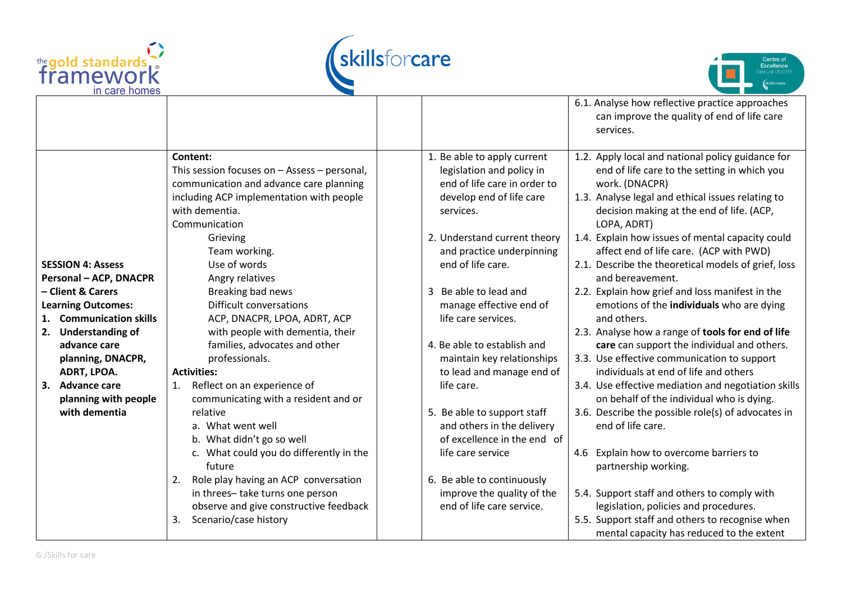





|                                   |                                                  |                                         | 6.1. Analyse how reflective practice approaches                                      |
|-----------------------------------|--------------------------------------------------|-----------------------------------------|--------------------------------------------------------------------------------------|
|                                   |                                                  |                                         | can improve the quality of end of life care                                          |
|                                   |                                                  |                                         | services.                                                                            |
|                                   | Content:                                         | 1. Be able to apply current             | 1.2. Apply local and national policy guidance for                                    |
|                                   | This session focuses on $-$ Assess $-$ personal, | legislation and policy in               | end of life care to the setting in which you                                         |
|                                   | communication and advance care planning          | end of life care in order to            | work. (DNACPR)                                                                       |
|                                   | including ACP implementation with people         | develop end of life care                | 1.3. Analyse legal and ethical issues relating to                                    |
|                                   | with dementia.                                   | services.                               | decision making at the end of life. (ACP,                                            |
|                                   | Communication                                    |                                         | LOPA, ADRT)                                                                          |
|                                   | Grieving                                         | 2. Understand current theory            | 1.4. Explain how issues of mental capacity could                                     |
|                                   | Team working.                                    | and practice underpinning               | affect end of life care. (ACP with PWD)                                              |
| <b>SESSION 4: Assess</b>          | Use of words                                     | end of life care.                       | 2.1. Describe the theoretical models of grief, loss                                  |
| <b>Personal - ACP, DNACPR</b>     | Angry relatives                                  |                                         | and bereavement.                                                                     |
| - Client & Carers                 | Breaking bad news                                | Be able to lead and                     | 2.2. Explain how grief and loss manifest in the                                      |
| <b>Learning Outcomes:</b>         | Difficult conversations                          | manage effective end of                 | emotions of the individuals who are dying                                            |
| <b>Communication skills</b><br>1. | ACP, DNACPR, LPOA, ADRT, ACP                     | life care services.                     | and others.                                                                          |
| <b>Understanding of</b><br>2.     | with people with dementia, their                 |                                         | 2.3. Analyse how a range of tools for end of life                                    |
| advance care                      | families, advocates and other                    | 4. Be able to establish and             | care can support the individual and others.                                          |
| planning, DNACPR,<br>ADRT, LPOA.  | professionals.<br><b>Activities:</b>             | maintain key relationships              | 3.3. Use effective communication to support<br>individuals at end of life and others |
| 3. Advance care                   | Reflect on an experience of                      | to lead and manage end of<br>life care. | 3.4. Use effective mediation and negotiation skills                                  |
| planning with people              | 1.<br>communicating with a resident and or       |                                         | on behalf of the individual who is dying.                                            |
| with dementia                     | relative                                         | 5. Be able to support staff             | 3.6. Describe the possible role(s) of advocates in                                   |
|                                   | a. What went well                                | and others in the delivery              | end of life care.                                                                    |
|                                   | b. What didn't go so well                        | of excellence in the end of             |                                                                                      |
|                                   | c. What could you do differently in the          | life care service                       | Explain how to overcome barriers to<br>4.6                                           |
|                                   | future                                           |                                         | partnership working.                                                                 |
|                                   | Role play having an ACP conversation<br>2.       | 6. Be able to continuously              |                                                                                      |
|                                   | in threes-take turns one person                  | improve the quality of the              | 5.4. Support staff and others to comply with                                         |
|                                   | observe and give constructive feedback           | end of life care service.               | legislation, policies and procedures.                                                |
|                                   | Scenario/case history<br>3.                      |                                         | 5.5. Support staff and others to recognise when                                      |
|                                   |                                                  |                                         | mental capacity has reduced to the extent                                            |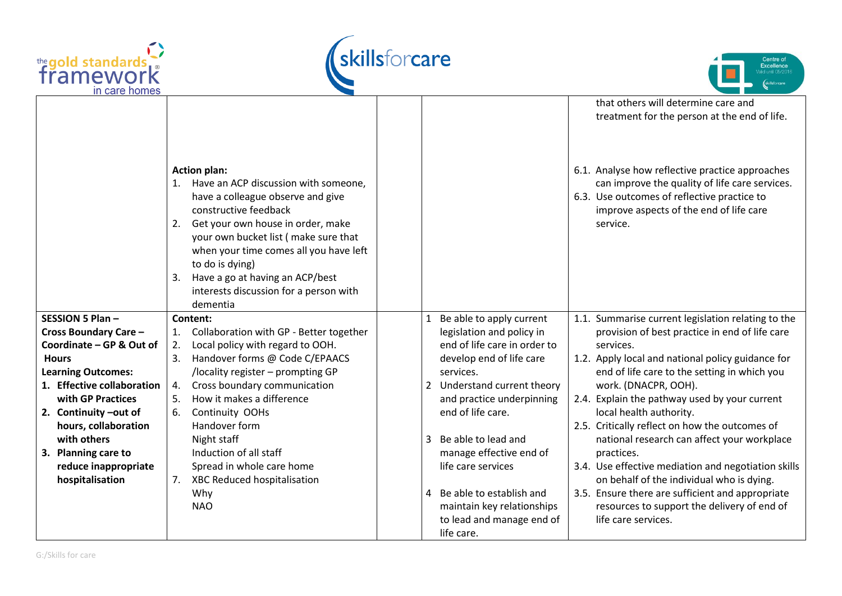





|                                                         |                                                                                                                                                                                                                                                                                                                                                                                |                                                                                                        | that others will determine care and<br>treatment for the person at the end of life.                                                                                                                     |
|---------------------------------------------------------|--------------------------------------------------------------------------------------------------------------------------------------------------------------------------------------------------------------------------------------------------------------------------------------------------------------------------------------------------------------------------------|--------------------------------------------------------------------------------------------------------|---------------------------------------------------------------------------------------------------------------------------------------------------------------------------------------------------------|
|                                                         | <b>Action plan:</b><br>Have an ACP discussion with someone,<br>1.<br>have a colleague observe and give<br>constructive feedback<br>Get your own house in order, make<br>2.<br>your own bucket list (make sure that<br>when your time comes all you have left<br>to do is dying)<br>Have a go at having an ACP/best<br>3.<br>interests discussion for a person with<br>dementia |                                                                                                        | 6.1. Analyse how reflective practice approaches<br>can improve the quality of life care services.<br>6.3. Use outcomes of reflective practice to<br>improve aspects of the end of life care<br>service. |
| SESSION 5 Plan-                                         | Content:                                                                                                                                                                                                                                                                                                                                                                       | Be able to apply current                                                                               | 1.1. Summarise current legislation relating to the                                                                                                                                                      |
| <b>Cross Boundary Care -</b>                            | Collaboration with GP - Better together<br>1.                                                                                                                                                                                                                                                                                                                                  | legislation and policy in                                                                              | provision of best practice in end of life care                                                                                                                                                          |
| Coordinate - GP & Out of                                | Local policy with regard to OOH.<br>2.                                                                                                                                                                                                                                                                                                                                         | end of life care in order to                                                                           | services.                                                                                                                                                                                               |
| <b>Hours</b>                                            | Handover forms @ Code C/EPAACS<br>3.                                                                                                                                                                                                                                                                                                                                           | develop end of life care                                                                               | 1.2. Apply local and national policy guidance for                                                                                                                                                       |
| <b>Learning Outcomes:</b><br>1. Effective collaboration | /locality register - prompting GP                                                                                                                                                                                                                                                                                                                                              | services.<br>Understand current theory                                                                 | end of life care to the setting in which you                                                                                                                                                            |
| with GP Practices                                       | Cross boundary communication<br>4.<br>How it makes a difference<br>5.                                                                                                                                                                                                                                                                                                          | 2<br>and practice underpinning                                                                         | work. (DNACPR, OOH).<br>2.4. Explain the pathway used by your current                                                                                                                                   |
| 2. Continuity-out of                                    | Continuity OOHs<br>6.                                                                                                                                                                                                                                                                                                                                                          | end of life care.                                                                                      | local health authority.                                                                                                                                                                                 |
| hours, collaboration                                    | Handover form                                                                                                                                                                                                                                                                                                                                                                  |                                                                                                        | 2.5. Critically reflect on how the outcomes of                                                                                                                                                          |
| with others                                             | Night staff                                                                                                                                                                                                                                                                                                                                                                    | Be able to lead and<br>3                                                                               | national research can affect your workplace                                                                                                                                                             |
| 3. Planning care to                                     | Induction of all staff                                                                                                                                                                                                                                                                                                                                                         | manage effective end of                                                                                | practices.                                                                                                                                                                                              |
| reduce inappropriate                                    | Spread in whole care home                                                                                                                                                                                                                                                                                                                                                      | life care services                                                                                     | 3.4. Use effective mediation and negotiation skills                                                                                                                                                     |
| hospitalisation                                         | XBC Reduced hospitalisation<br>7.                                                                                                                                                                                                                                                                                                                                              |                                                                                                        | on behalf of the individual who is dying.                                                                                                                                                               |
|                                                         | Why<br><b>NAO</b>                                                                                                                                                                                                                                                                                                                                                              | Be able to establish and<br>4<br>maintain key relationships<br>to lead and manage end of<br>life care. | 3.5. Ensure there are sufficient and appropriate<br>resources to support the delivery of end of<br>life care services.                                                                                  |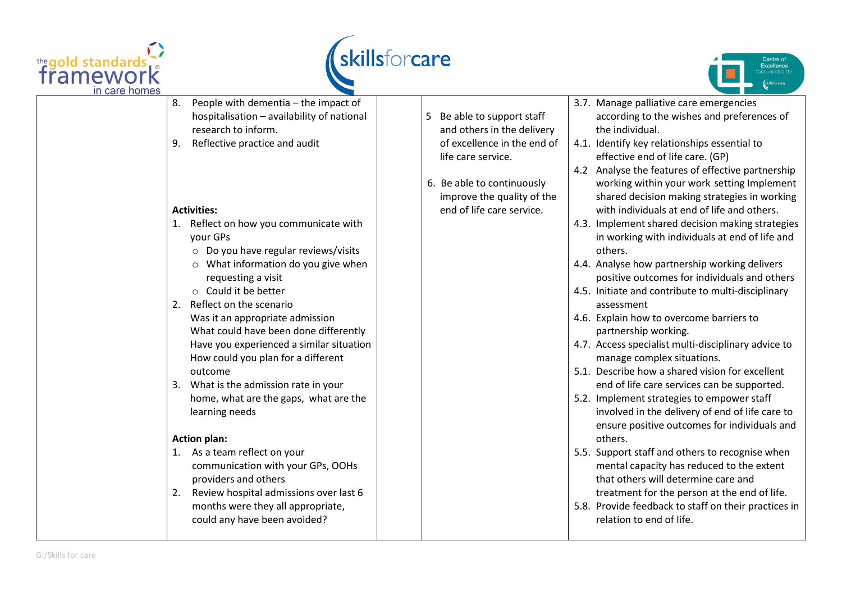





| in care homes |                                              |                             |                                                      |
|---------------|----------------------------------------------|-----------------------------|------------------------------------------------------|
|               | People with dementia - the impact of<br>8.   |                             | 3.7. Manage palliative care emergencies              |
|               | hospitalisation - availability of national   | Be able to support staff    | according to the wishes and preferences of           |
|               | research to inform.                          | and others in the delivery  | the individual.                                      |
|               | Reflective practice and audit<br>9.          | of excellence in the end of | 4.1. Identify key relationships essential to         |
|               |                                              | life care service.          | effective end of life care. (GP)                     |
|               |                                              |                             | 4.2 Analyse the features of effective partnership    |
|               |                                              | 6. Be able to continuously  | working within your work setting Implement           |
|               |                                              | improve the quality of the  | shared decision making strategies in working         |
|               | <b>Activities:</b>                           | end of life care service.   | with individuals at end of life and others.          |
|               | Reflect on how you communicate with          |                             | 4.3. Implement shared decision making strategies     |
|               | your GPs                                     |                             | in working with individuals at end of life and       |
|               | $\circ$ Do you have regular reviews/visits   |                             | others.                                              |
|               | $\circ$ What information do you give when    |                             | 4.4. Analyse how partnership working delivers        |
|               | requesting a visit                           |                             | positive outcomes for individuals and others         |
|               | $\circ$ Could it be better                   |                             | 4.5. Initiate and contribute to multi-disciplinary   |
|               | Reflect on the scenario<br>2.                |                             | assessment                                           |
|               | Was it an appropriate admission              |                             | 4.6. Explain how to overcome barriers to             |
|               | What could have been done differently        |                             | partnership working.                                 |
|               | Have you experienced a similar situation     |                             | 4.7. Access specialist multi-disciplinary advice to  |
|               | How could you plan for a different           |                             | manage complex situations.                           |
|               | outcome                                      |                             | 5.1. Describe how a shared vision for excellent      |
|               | What is the admission rate in your           |                             | end of life care services can be supported.          |
|               | home, what are the gaps, what are the        |                             | 5.2. Implement strategies to empower staff           |
|               | learning needs                               |                             | involved in the delivery of end of life care to      |
|               |                                              |                             | ensure positive outcomes for individuals and         |
|               | <b>Action plan:</b>                          |                             | others.                                              |
|               | 1. As a team reflect on your                 |                             | 5.5. Support staff and others to recognise when      |
|               | communication with your GPs, OOHs            |                             | mental capacity has reduced to the extent            |
|               | providers and others                         |                             | that others will determine care and                  |
|               | Review hospital admissions over last 6<br>2. |                             | treatment for the person at the end of life.         |
|               | months were they all appropriate,            |                             | 5.8. Provide feedback to staff on their practices in |
|               | could any have been avoided?                 |                             | relation to end of life.                             |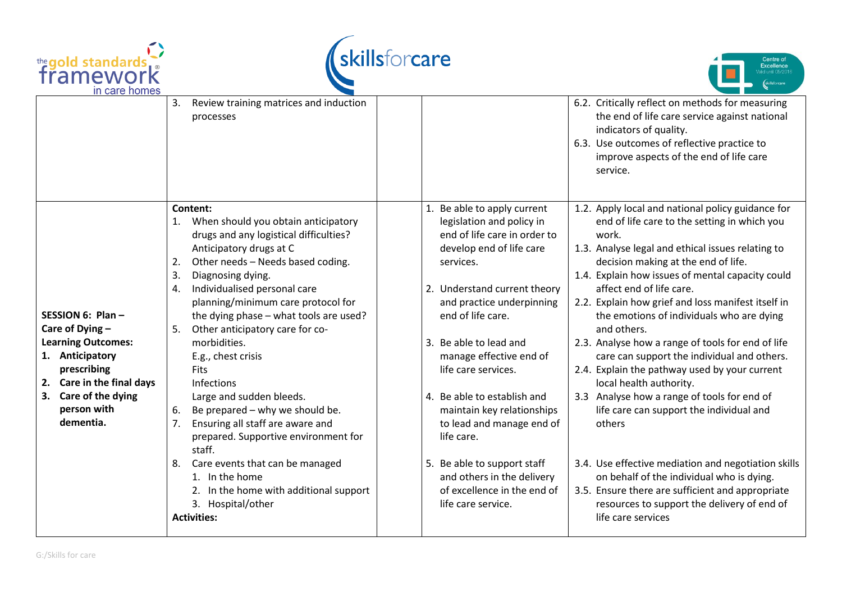





|                                                                                                                                                                                        | Review training matrices and induction<br>3.<br>processes                                                                                                                                                                                                                                                                                                                                                                                                                                                                                                                                        |                                                                                                                                                                                                                                                                                                                                                                                                            | 6.2. Critically reflect on methods for measuring<br>the end of life care service against national<br>indicators of quality.<br>6.3. Use outcomes of reflective practice to<br>improve aspects of the end of life care<br>service.                                                                                                                                                                                                                                                                                                                                                                                                                                                             |
|----------------------------------------------------------------------------------------------------------------------------------------------------------------------------------------|--------------------------------------------------------------------------------------------------------------------------------------------------------------------------------------------------------------------------------------------------------------------------------------------------------------------------------------------------------------------------------------------------------------------------------------------------------------------------------------------------------------------------------------------------------------------------------------------------|------------------------------------------------------------------------------------------------------------------------------------------------------------------------------------------------------------------------------------------------------------------------------------------------------------------------------------------------------------------------------------------------------------|-----------------------------------------------------------------------------------------------------------------------------------------------------------------------------------------------------------------------------------------------------------------------------------------------------------------------------------------------------------------------------------------------------------------------------------------------------------------------------------------------------------------------------------------------------------------------------------------------------------------------------------------------------------------------------------------------|
| SESSION 6: Plan-<br>Care of Dying -<br><b>Learning Outcomes:</b><br>1. Anticipatory<br>prescribing<br>2. Care in the final days<br>Care of the dying<br>3.<br>person with<br>dementia. | Content:<br>1. When should you obtain anticipatory<br>drugs and any logistical difficulties?<br>Anticipatory drugs at C<br>Other needs - Needs based coding.<br>2.<br>3.<br>Diagnosing dying.<br>Individualised personal care<br>4.<br>planning/minimum care protocol for<br>the dying phase - what tools are used?<br>Other anticipatory care for co-<br>5.<br>morbidities.<br>E.g., chest crisis<br><b>Fits</b><br>Infections<br>Large and sudden bleeds.<br>Be prepared - why we should be.<br>6.<br>7.<br>Ensuring all staff are aware and<br>prepared. Supportive environment for<br>staff. | 1. Be able to apply current<br>legislation and policy in<br>end of life care in order to<br>develop end of life care<br>services.<br>2. Understand current theory<br>and practice underpinning<br>end of life care.<br>Be able to lead and<br>3.<br>manage effective end of<br>life care services.<br>4. Be able to establish and<br>maintain key relationships<br>to lead and manage end of<br>life care. | 1.2. Apply local and national policy guidance for<br>end of life care to the setting in which you<br>work.<br>1.3. Analyse legal and ethical issues relating to<br>decision making at the end of life.<br>1.4. Explain how issues of mental capacity could<br>affect end of life care.<br>2.2. Explain how grief and loss manifest itself in<br>the emotions of individuals who are dying<br>and others.<br>2.3. Analyse how a range of tools for end of life<br>care can support the individual and others.<br>2.4. Explain the pathway used by your current<br>local health authority.<br>3.3 Analyse how a range of tools for end of<br>life care can support the individual and<br>others |
|                                                                                                                                                                                        | Care events that can be managed<br>8.<br>1. In the home<br>2. In the home with additional support<br>3. Hospital/other<br><b>Activities:</b>                                                                                                                                                                                                                                                                                                                                                                                                                                                     | Be able to support staff<br>5.<br>and others in the delivery<br>of excellence in the end of<br>life care service.                                                                                                                                                                                                                                                                                          | 3.4. Use effective mediation and negotiation skills<br>on behalf of the individual who is dying.<br>3.5. Ensure there are sufficient and appropriate<br>resources to support the delivery of end of<br>life care services                                                                                                                                                                                                                                                                                                                                                                                                                                                                     |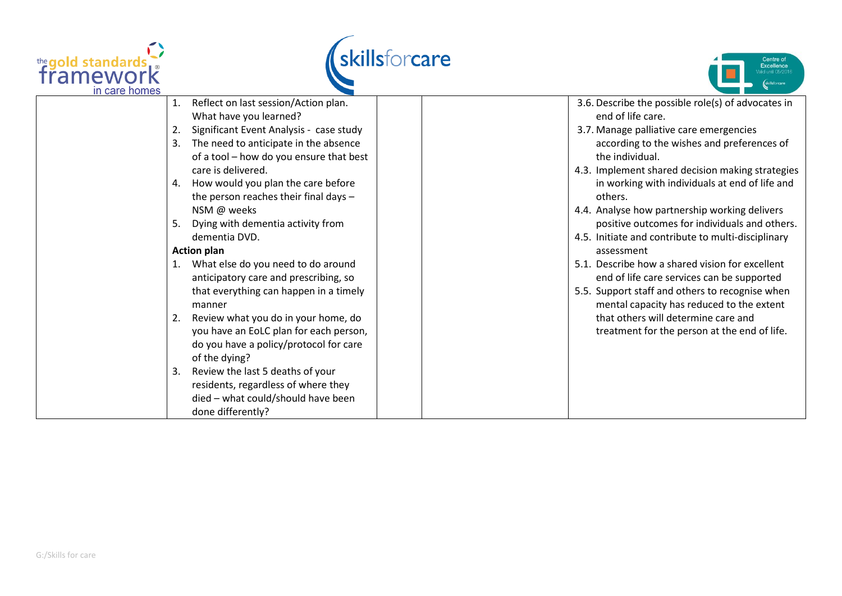





| in care homes |    |                                                                                                   |  |                                                                                                     |
|---------------|----|---------------------------------------------------------------------------------------------------|--|-----------------------------------------------------------------------------------------------------|
|               | 1. | Reflect on last session/Action plan.<br>What have you learned?                                    |  | 3.6. Describe the possible role(s) of advocates in<br>end of life care.                             |
|               | 2. | Significant Event Analysis - case study                                                           |  | 3.7. Manage palliative care emergencies                                                             |
|               | 3. | The need to anticipate in the absence<br>of a tool - how do you ensure that best                  |  | according to the wishes and preferences of<br>the individual.                                       |
|               |    | care is delivered.                                                                                |  | 4.3. Implement shared decision making strategies                                                    |
|               | 4. | How would you plan the care before<br>the person reaches their final days -                       |  | in working with individuals at end of life and<br>others.                                           |
|               |    | NSM @ weeks                                                                                       |  | 4.4. Analyse how partnership working delivers                                                       |
|               | 5. | Dying with dementia activity from<br>dementia DVD.                                                |  | positive outcomes for individuals and others.<br>4.5. Initiate and contribute to multi-disciplinary |
|               |    | <b>Action plan</b>                                                                                |  | assessment                                                                                          |
|               |    | What else do you need to do around<br>anticipatory care and prescribing, so                       |  | 5.1. Describe how a shared vision for excellent<br>end of life care services can be supported       |
|               |    | that everything can happen in a timely<br>manner                                                  |  | 5.5. Support staff and others to recognise when<br>mental capacity has reduced to the extent        |
|               | 2. | Review what you do in your home, do                                                               |  | that others will determine care and                                                                 |
|               |    | you have an EoLC plan for each person,<br>do you have a policy/protocol for care<br>of the dying? |  | treatment for the person at the end of life.                                                        |
|               | 3. | Review the last 5 deaths of your                                                                  |  |                                                                                                     |
|               |    | residents, regardless of where they                                                               |  |                                                                                                     |
|               |    | died - what could/should have been<br>done differently?                                           |  |                                                                                                     |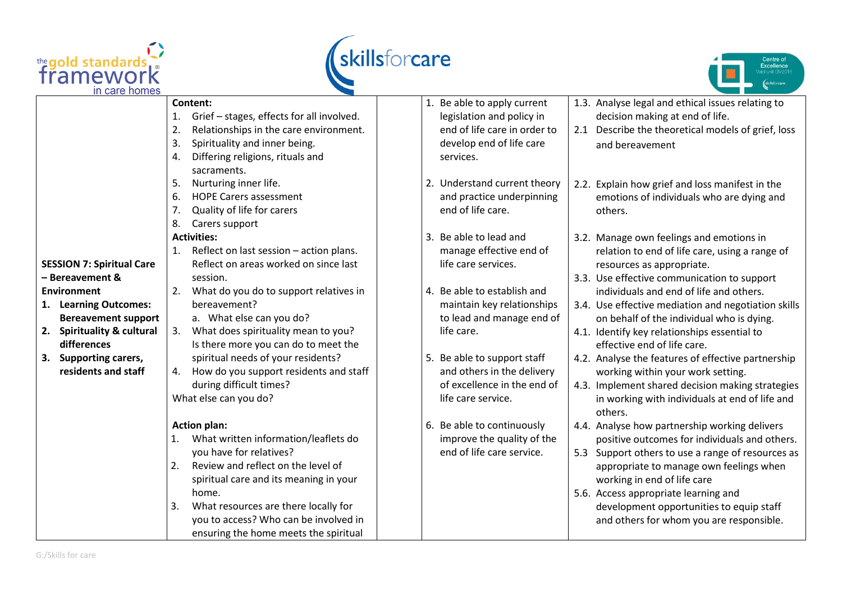





|                                  | Content:                                        | 1. Be able to apply current  | 1.3. Analyse legal and ethical issues relating to     |
|----------------------------------|-------------------------------------------------|------------------------------|-------------------------------------------------------|
|                                  | Grief - stages, effects for all involved.<br>1. | legislation and policy in    | decision making at end of life.                       |
|                                  | 2.<br>Relationships in the care environment.    | end of life care in order to | Describe the theoretical models of grief, loss<br>2.1 |
|                                  | 3.<br>Spirituality and inner being.             | develop end of life care     | and bereavement                                       |
|                                  | Differing religions, rituals and<br>4.          | services.                    |                                                       |
|                                  | sacraments.                                     |                              |                                                       |
|                                  | Nurturing inner life.<br>5.                     | 2. Understand current theory | 2.2. Explain how grief and loss manifest in the       |
|                                  | <b>HOPE Carers assessment</b><br>6.             | and practice underpinning    | emotions of individuals who are dying and             |
|                                  | 7.<br>Quality of life for carers                | end of life care.            | others.                                               |
|                                  | 8.<br>Carers support                            |                              |                                                       |
|                                  | <b>Activities:</b>                              | 3. Be able to lead and       | 3.2. Manage own feelings and emotions in              |
|                                  | Reflect on last session - action plans.<br>1.   | manage effective end of      | relation to end of life care, using a range of        |
| <b>SESSION 7: Spiritual Care</b> | Reflect on areas worked on since last           | life care services.          | resources as appropriate.                             |
| - Bereavement &                  | session.                                        |                              | 3.3. Use effective communication to support           |
| <b>Environment</b>               | What do you do to support relatives in<br>2.    | 4. Be able to establish and  | individuals and end of life and others.               |
| 1. Learning Outcomes:            | bereavement?                                    | maintain key relationships   | 3.4. Use effective mediation and negotiation skills   |
| <b>Bereavement support</b>       | a. What else can you do?                        | to lead and manage end of    | on behalf of the individual who is dying.             |
| 2. Spirituality & cultural       | What does spirituality mean to you?<br>3.       | life care.                   | 4.1. Identify key relationships essential to          |
| differences                      | Is there more you can do to meet the            |                              | effective end of life care.                           |
| 3. Supporting carers,            | spiritual needs of your residents?              | 5. Be able to support staff  | 4.2. Analyse the features of effective partnership    |
| residents and staff              | How do you support residents and staff<br>4.    | and others in the delivery   | working within your work setting.                     |
|                                  | during difficult times?                         | of excellence in the end of  | 4.3. Implement shared decision making strategies      |
|                                  | What else can you do?                           | life care service.           | in working with individuals at end of life and        |
|                                  |                                                 |                              | others.                                               |
|                                  | <b>Action plan:</b>                             | 6. Be able to continuously   | 4.4. Analyse how partnership working delivers         |
|                                  | What written information/leaflets do<br>1.      | improve the quality of the   | positive outcomes for individuals and others.         |
|                                  | you have for relatives?                         | end of life care service.    | 5.3 Support others to use a range of resources as     |
|                                  | Review and reflect on the level of<br>2.        |                              | appropriate to manage own feelings when               |
|                                  | spiritual care and its meaning in your          |                              | working in end of life care                           |
|                                  | home.                                           |                              | 5.6. Access appropriate learning and                  |
|                                  | What resources are there locally for<br>3.      |                              | development opportunities to equip staff              |
|                                  | you to access? Who can be involved in           |                              | and others for whom you are responsible.              |
|                                  | ensuring the home meets the spiritual           |                              |                                                       |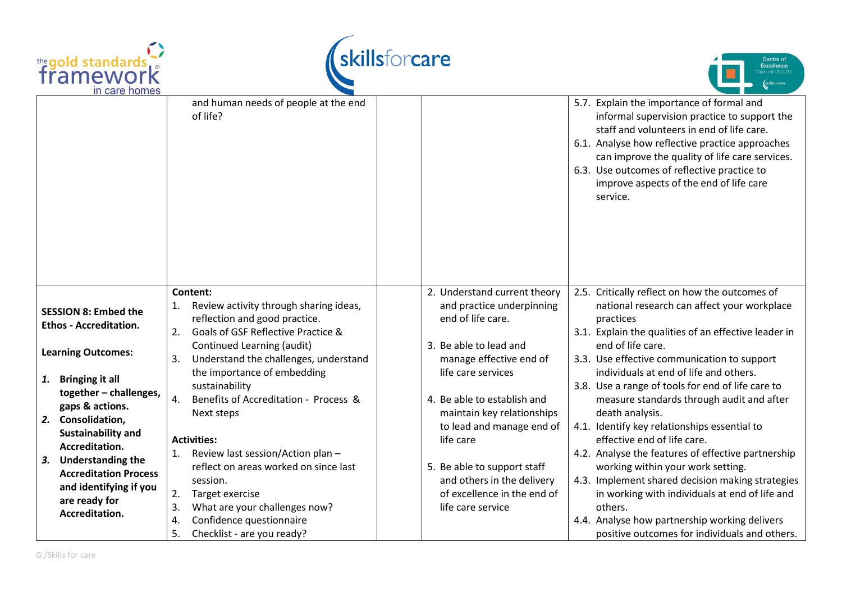





|                                                                                                                                                                                                                                                 | and human needs of people at the end<br>of life?                                                                                                                                                                                                                                                                |                                                                                                                                                                                                                      | 5.7. Explain the importance of formal and<br>informal supervision practice to support the<br>staff and volunteers in end of life care.<br>6.1. Analyse how reflective practice approaches<br>can improve the quality of life care services.<br>6.3. Use outcomes of reflective practice to<br>improve aspects of the end of life care<br>service.                                                                                                         |
|-------------------------------------------------------------------------------------------------------------------------------------------------------------------------------------------------------------------------------------------------|-----------------------------------------------------------------------------------------------------------------------------------------------------------------------------------------------------------------------------------------------------------------------------------------------------------------|----------------------------------------------------------------------------------------------------------------------------------------------------------------------------------------------------------------------|-----------------------------------------------------------------------------------------------------------------------------------------------------------------------------------------------------------------------------------------------------------------------------------------------------------------------------------------------------------------------------------------------------------------------------------------------------------|
| <b>SESSION 8: Embed the</b><br><b>Ethos - Accreditation.</b><br><b>Learning Outcomes:</b><br><b>Bringing it all</b><br>1.                                                                                                                       | Content:<br>Review activity through sharing ideas,<br>reflection and good practice.<br>Goals of GSF Reflective Practice &<br>2.<br>Continued Learning (audit)<br>Understand the challenges, understand<br>3.<br>the importance of embedding<br>sustainability                                                   | 2. Understand current theory<br>and practice underpinning<br>end of life care.<br>3. Be able to lead and<br>manage effective end of<br>life care services                                                            | 2.5. Critically reflect on how the outcomes of<br>national research can affect your workplace<br>practices<br>3.1. Explain the qualities of an effective leader in<br>end of life care.<br>3.3. Use effective communication to support<br>individuals at end of life and others.<br>3.8. Use a range of tools for end of life care to                                                                                                                     |
| together - challenges,<br>gaps & actions.<br>Consolidation,<br>2.<br><b>Sustainability and</b><br>Accreditation.<br><b>Understanding the</b><br>3.<br><b>Accreditation Process</b><br>and identifying if you<br>are ready for<br>Accreditation. | Benefits of Accreditation - Process &<br>4.<br>Next steps<br><b>Activities:</b><br>Review last session/Action plan -<br>reflect on areas worked on since last<br>session.<br>2.<br>Target exercise<br>3.<br>What are your challenges now?<br>Confidence questionnaire<br>4.<br>5.<br>Checklist - are you ready? | 4. Be able to establish and<br>maintain key relationships<br>to lead and manage end of<br>life care<br>5. Be able to support staff<br>and others in the delivery<br>of excellence in the end of<br>life care service | measure standards through audit and after<br>death analysis.<br>4.1. Identify key relationships essential to<br>effective end of life care.<br>4.2. Analyse the features of effective partnership<br>working within your work setting.<br>4.3. Implement shared decision making strategies<br>in working with individuals at end of life and<br>others.<br>4.4. Analyse how partnership working delivers<br>positive outcomes for individuals and others. |